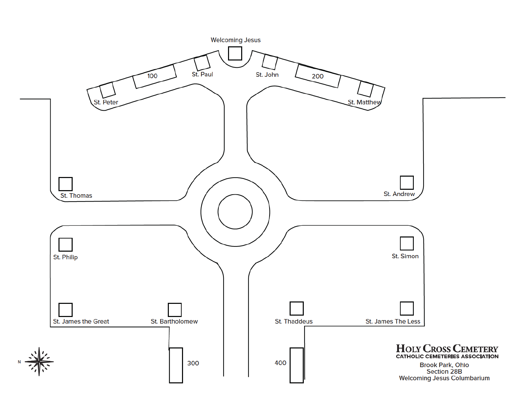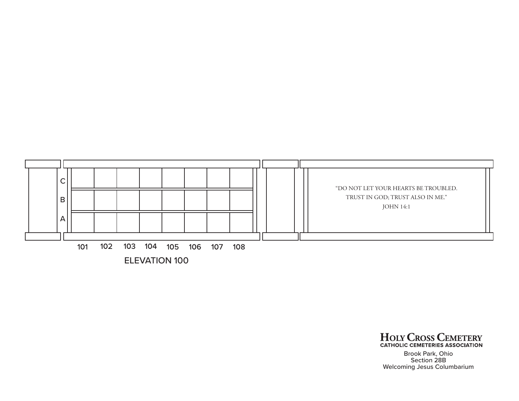

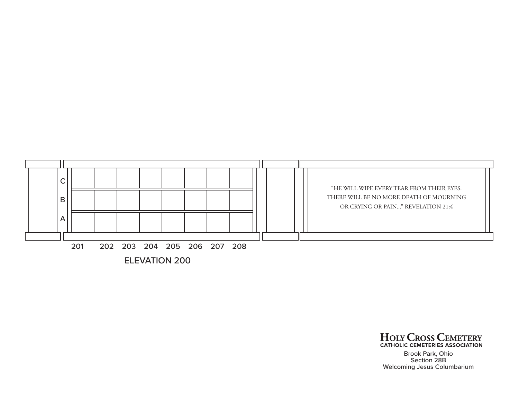

ELEVATION 200

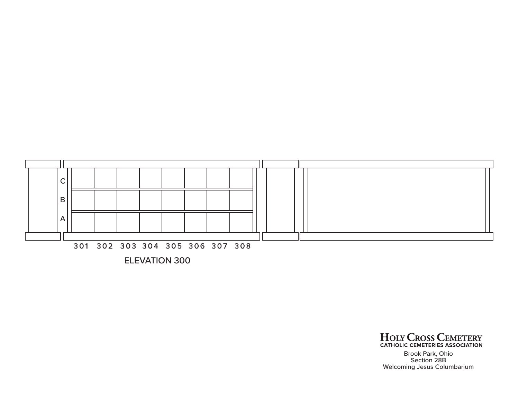

ELEVATION 300

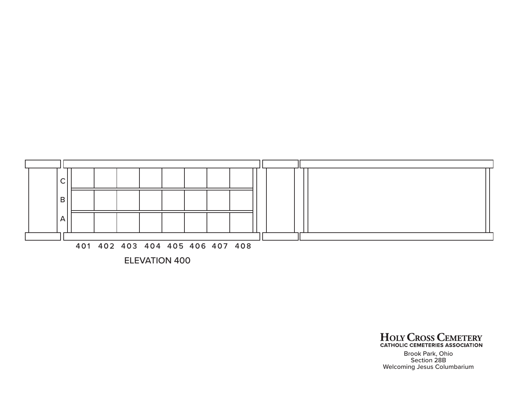

ELEVATION 400

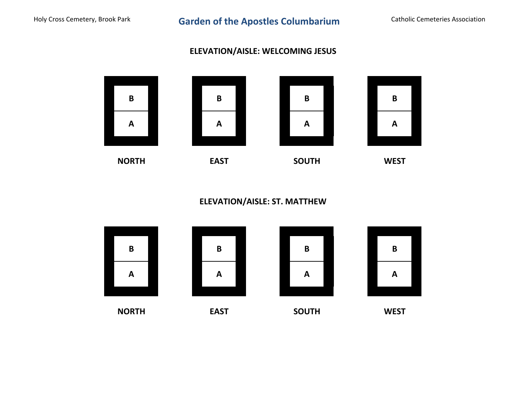## **ELEVATION/AISLE: WELCOMING JESUS**



**ELEVATION/AISLE: ST. MATTHEW**

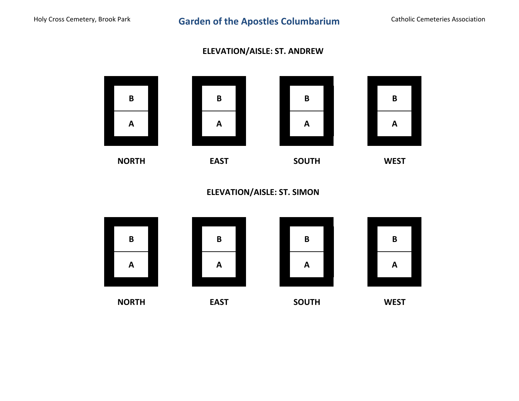## **ELEVATION/AISLE: ST. ANDREW**



**ELEVATION/AISLE: ST. SIMON**

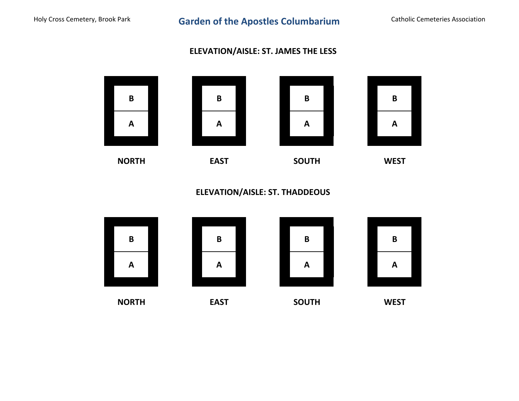## **ELEVATION/AISLE: ST. JAMES THE LESS**



**ELEVATION/AISLE: ST. THADDEOUS**

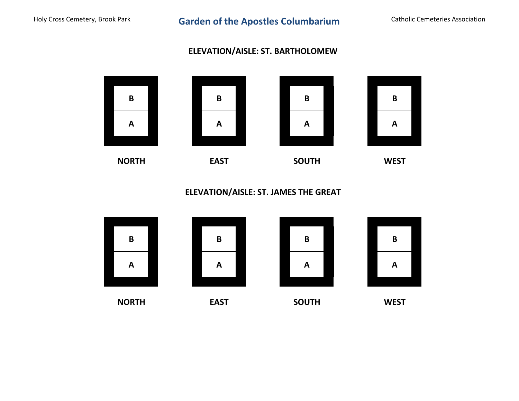## **ELEVATION/AISLE: ST. BARTHOLOMEW**



**ELEVATION/AISLE: ST. JAMES THE GREAT**

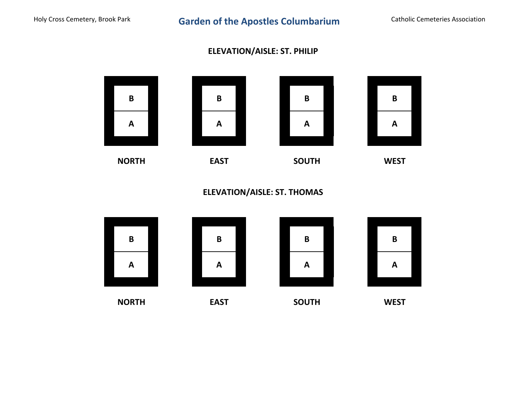## **ELEVATION/AISLE: ST. PHILIP**



**ELEVATION/AISLE: ST. THOMAS**

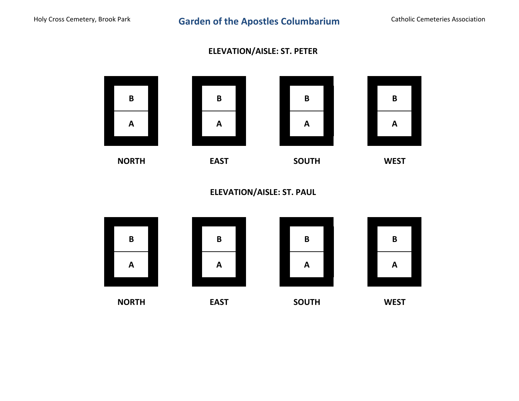## **ELEVATION/AISLE: ST. PETER**



**ELEVATION/AISLE: ST. PAUL**

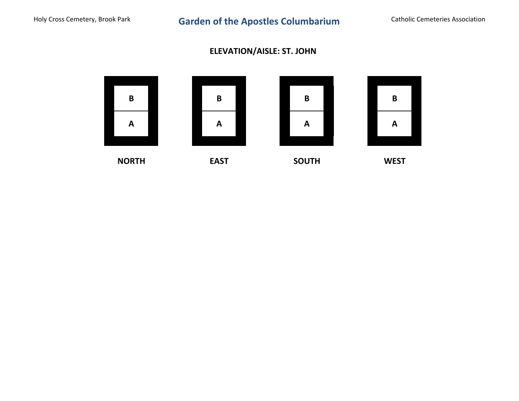# **ELEVATION/AISLE: ST. JOHN**